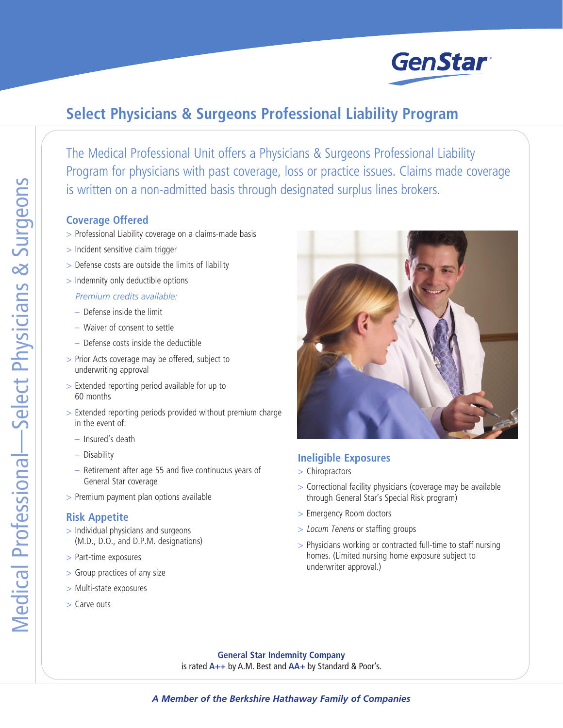

## **Select Physicians & Surgeons Professional Liability Program**

The Medical Professional Unit offers a Physicians & Surgeons Professional Liability Program for physicians with past coverage, loss or practice issues. Claims made coverage is written on a non-admitted basis through designated surplus lines brokers.

## **Coverage Offered**

- > Professional Liability coverage on a claims-made basis
- > Incident sensitive claim trigger
- > Defense costs are outside the limits of liability
- > Indemnity only deductible options *Premium credits available:*
	- Defense inside the limit
	- Waiver of consent to settle
	- Defense costs inside the deductible
- > Prior Acts coverage may be offered, subject to underwriting approval
- > Extended reporting period available for up to 60 months
- > Extended reporting periods provided without premium charge in the event of:
	- Insured's death
	- Disability
	- Retirement after age 55 and five continuous years of General Star coverage
- > Premium payment plan options available

## **Risk Appetite**

- > Individual physicians and surgeons (M.D., D.O., and D.P.M. designations)
- > Part-time exposures
- > Group practices of any size
- > Multi-state exposures
- > Carve outs



## **Ineligible Exposures**

- > Chiropractors
- > Correctional facility physicians (coverage may be available through General Star's Special Risk program)
- > Emergency Room doctors
- > Locum Tenens or staffing groups
- > Physicians working or contracted full-time to staff nursing homes. (Limited nursing home exposure subject to underwriter approval.)

**General Star Indemnity Company** is rated **A++** by A.M. Best and **AA+** by Standard & Poor's.